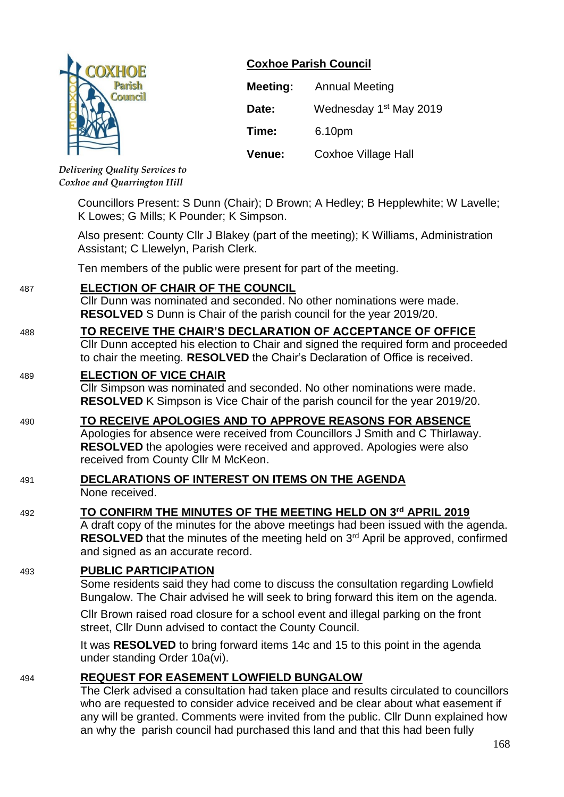|  | <b>COXHOE</b>  |
|--|----------------|
|  | Parish         |
|  | <b>Council</b> |
|  |                |
|  |                |
|  |                |

# **Coxhoe Parish Council**

| Meeting: | <b>Annual Meeting</b>              |
|----------|------------------------------------|
| Date:    | Wednesday 1 <sup>st</sup> May 2019 |
| Time:    | 6.10pm                             |
| Venue:   | Coxhoe Village Hall                |

*Delivering Quality Services to Coxhoe and Quarrington Hill*

> Councillors Present: S Dunn (Chair); D Brown; A Hedley; B Hepplewhite; W Lavelle; K Lowes; G Mills; K Pounder; K Simpson.

Also present: County Cllr J Blakey (part of the meeting); K Williams, Administration Assistant; C Llewelyn, Parish Clerk.

Ten members of the public were present for part of the meeting.

# 487 **ELECTION OF CHAIR OF THE COUNCIL**

Cllr Dunn was nominated and seconded. No other nominations were made. **RESOLVED** S Dunn is Chair of the parish council for the year 2019/20.

## 488 **TO RECEIVE THE CHAIR'S DECLARATION OF ACCEPTANCE OF OFFICE**

Cllr Dunn accepted his election to Chair and signed the required form and proceeded to chair the meeting. **RESOLVED** the Chair's Declaration of Office is received.

## 489 **ELECTION OF VICE CHAIR**

Cllr Simpson was nominated and seconded. No other nominations were made. **RESOLVED** K Simpson is Vice Chair of the parish council for the year 2019/20.

# 490 **TO RECEIVE APOLOGIES AND TO APPROVE REASONS FOR ABSENCE**

Apologies for absence were received from Councillors J Smith and C Thirlaway. **RESOLVED** the apologies were received and approved. Apologies were also received from County Cllr M McKeon.

#### 491 **DECLARATIONS OF INTEREST ON ITEMS ON THE AGENDA** None received.

# 492 **TO CONFIRM THE MINUTES OF THE MEETING HELD ON 3 rd APRIL 2019**

A draft copy of the minutes for the above meetings had been issued with the agenda. **RESOLVED** that the minutes of the meeting held on 3<sup>rd</sup> April be approved, confirmed and signed as an accurate record.

# 493 **PUBLIC PARTICIPATION**

Some residents said they had come to discuss the consultation regarding Lowfield Bungalow. The Chair advised he will seek to bring forward this item on the agenda.

Cllr Brown raised road closure for a school event and illegal parking on the front street, Cllr Dunn advised to contact the County Council.

It was **RESOLVED** to bring forward items 14c and 15 to this point in the agenda under standing Order 10a(vi).

## 494 **REQUEST FOR EASEMENT LOWFIELD BUNGALOW**

The Clerk advised a consultation had taken place and results circulated to councillors who are requested to consider advice received and be clear about what easement if any will be granted. Comments were invited from the public. Cllr Dunn explained how an why the parish council had purchased this land and that this had been fully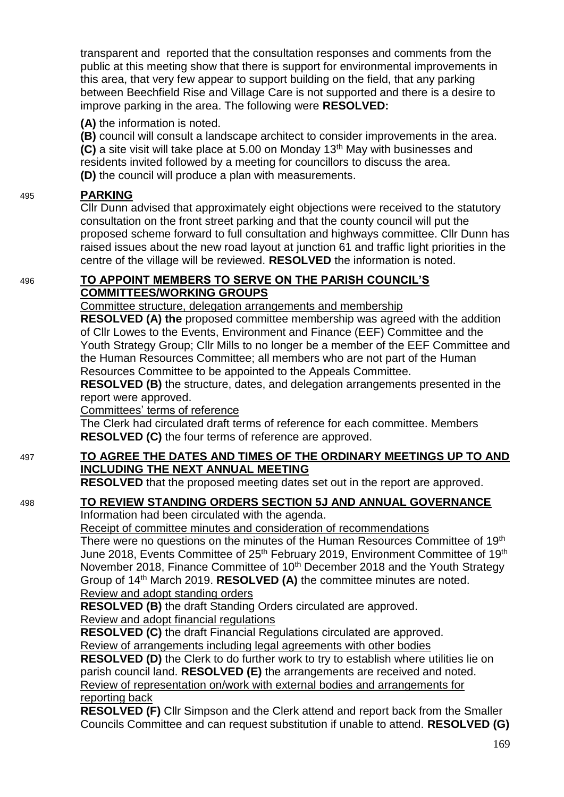transparent and reported that the consultation responses and comments from the public at this meeting show that there is support for environmental improvements in this area, that very few appear to support building on the field, that any parking between Beechfield Rise and Village Care is not supported and there is a desire to improve parking in the area. The following were **RESOLVED:**

**(A)** the information is noted.

**(B)** council will consult a landscape architect to consider improvements in the area. **(C)** a site visit will take place at 5.00 on Monday 13<sup>th</sup> May with businesses and residents invited followed by a meeting for councillors to discuss the area. **(D)** the council will produce a plan with measurements.

# 495 **PARKING**

Cllr Dunn advised that approximately eight objections were received to the statutory consultation on the front street parking and that the county council will put the proposed scheme forward to full consultation and highways committee. Cllr Dunn has raised issues about the new road layout at junction 61 and traffic light priorities in the centre of the village will be reviewed. **RESOLVED** the information is noted.

## 496 **TO APPOINT MEMBERS TO SERVE ON THE PARISH COUNCIL'S COMMITTEES/WORKING GROUPS**

Committee structure, delegation arrangements and membership

**RESOLVED (A) the** proposed committee membership was agreed with the addition of Cllr Lowes to the Events, Environment and Finance (EEF) Committee and the Youth Strategy Group; Cllr Mills to no longer be a member of the EEF Committee and the Human Resources Committee; all members who are not part of the Human Resources Committee to be appointed to the Appeals Committee.

**RESOLVED (B)** the structure, dates, and delegation arrangements presented in the report were approved.

Committees' terms of reference

The Clerk had circulated draft terms of reference for each committee. Members **RESOLVED (C)** the four terms of reference are approved.

# 497 **TO AGREE THE DATES AND TIMES OF THE ORDINARY MEETINGS UP TO AND INCLUDING THE NEXT ANNUAL MEETING**

**RESOLVED** that the proposed meeting dates set out in the report are approved.

# 498 **TO REVIEW STANDING ORDERS SECTION 5J AND ANNUAL GOVERNANCE**

Information had been circulated with the agenda.

Receipt of committee minutes and consideration of recommendations

There were no questions on the minutes of the Human Resources Committee of 19<sup>th</sup> June 2018, Events Committee of 25<sup>th</sup> February 2019, Environment Committee of 19<sup>th</sup> November 2018, Finance Committee of 10<sup>th</sup> December 2018 and the Youth Strategy Group of 14th March 2019. **RESOLVED (A)** the committee minutes are noted. Review and adopt standing orders

**RESOLVED (B)** the draft Standing Orders circulated are approved. Review and adopt financial regulations

**RESOLVED (C)** the draft Financial Regulations circulated are approved. Review of arrangements including legal agreements with other bodies

**RESOLVED (D)** the Clerk to do further work to try to establish where utilities lie on parish council land. **RESOLVED (E)** the arrangements are received and noted. Review of representation on/work with external bodies and arrangements for reporting back

**RESOLVED (F)** Cllr Simpson and the Clerk attend and report back from the Smaller Councils Committee and can request substitution if unable to attend. **RESOLVED (G)**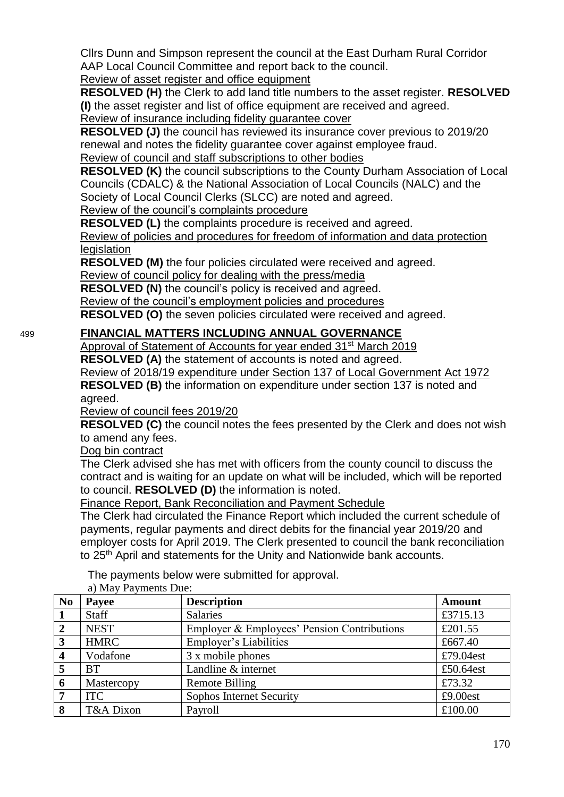Cllrs Dunn and Simpson represent the council at the East Durham Rural Corridor AAP Local Council Committee and report back to the council.

Review of asset register and office equipment

**RESOLVED (H)** the Clerk to add land title numbers to the asset register. **RESOLVED (I)** the asset register and list of office equipment are received and agreed. Review of insurance including fidelity guarantee cover

**RESOLVED (J)** the council has reviewed its insurance cover previous to 2019/20 renewal and notes the fidelity guarantee cover against employee fraud. Review of council and staff subscriptions to other bodies

**RESOLVED (K)** the council subscriptions to the County Durham Association of Local Councils (CDALC) & the National Association of Local Councils (NALC) and the Society of Local Council Clerks (SLCC) are noted and agreed.

Review of the council's complaints procedure

**RESOLVED (L)** the complaints procedure is received and agreed.

Review of policies and procedures for freedom of information and data protection **legislation** 

**RESOLVED (M)** the four policies circulated were received and agreed.

Review of council policy for dealing with the press/media

**RESOLVED (N)** the council's policy is received and agreed.

Review of the council's employment policies and procedures

**RESOLVED (O)** the seven policies circulated were received and agreed.

# 499 **FINANCIAL MATTERS INCLUDING ANNUAL GOVERNANCE**

Approval of Statement of Accounts for year ended 31<sup>st</sup> March 2019

**RESOLVED (A)** the statement of accounts is noted and agreed.

Review of 2018/19 expenditure under Section 137 of Local Government Act 1972

**RESOLVED (B)** the information on expenditure under section 137 is noted and agreed.

Review of council fees 2019/20

**RESOLVED (C)** the council notes the fees presented by the Clerk and does not wish to amend any fees.

Dog bin contract

The Clerk advised she has met with officers from the county council to discuss the contract and is waiting for an update on what will be included, which will be reported to council. **RESOLVED (D)** the information is noted.

Finance Report, Bank Reconciliation and Payment Schedule

The Clerk had circulated the Finance Report which included the current schedule of payments, regular payments and direct debits for the financial year 2019/20 and employer costs for April 2019. The Clerk presented to council the bank reconciliation to 25<sup>th</sup> April and statements for the Unity and Nationwide bank accounts.

The payments below were submitted for approval.

| N <sub>0</sub>          | $a)$ ividy a dynicties $Du\mathcal{C}$ .<br>Payee | <b>Description</b>                          | <b>Amount</b> |
|-------------------------|---------------------------------------------------|---------------------------------------------|---------------|
|                         | <b>Staff</b>                                      | <b>Salaries</b>                             | £3715.13      |
| $\overline{2}$          | <b>NEST</b>                                       | Employer & Employees' Pension Contributions | £201.55       |
| 3                       | <b>HMRC</b>                                       | <b>Employer's Liabilities</b>               | £667.40       |
| $\overline{\mathbf{4}}$ | Vodafone                                          | 3 x mobile phones                           | £79.04est     |
| 5                       | BТ                                                | Landline & internet                         | £50.64est     |
| 6                       | Mastercopy                                        | <b>Remote Billing</b>                       | £73.32        |
| 7                       | <b>ITC</b>                                        | Sophos Internet Security                    | £9.00est      |
| 8                       | T&A Dixon                                         | Payroll                                     | £100.00       |

a) May Payments Due: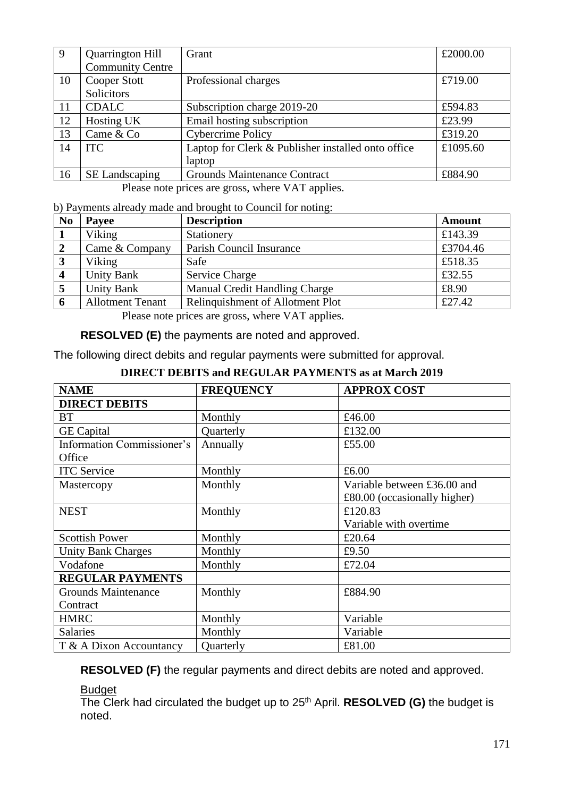| 9  | <b>Quarrington Hill</b><br><b>Community Centre</b> | Grant                                                        | £2000.00 |
|----|----------------------------------------------------|--------------------------------------------------------------|----------|
| 10 | Cooper Stott<br>Solicitors                         | Professional charges                                         | £719.00  |
| 11 | <b>CDALC</b>                                       | Subscription charge 2019-20                                  | £594.83  |
| 12 | Hosting UK                                         | Email hosting subscription                                   | £23.99   |
| 13 | Came & Co                                          | <b>Cybercrime Policy</b>                                     | £319.20  |
| 14 | <b>ITC</b>                                         | Laptop for Clerk & Publisher installed onto office<br>laptop | £1095.60 |
| 16 | SE Landscaping                                     | <b>Grounds Maintenance Contract</b>                          | £884.90  |

Please note prices are gross, where VAT applies.

b) Payments already made and brought to Council for noting:

| N <sub>0</sub> | Payee                   | <b>Description</b>                      | <b>Amount</b> |
|----------------|-------------------------|-----------------------------------------|---------------|
|                | Viking                  | Stationery                              | £143.39       |
|                | Came & Company          | Parish Council Insurance                | £3704.46      |
|                | Viking                  | Safe                                    | £518.35       |
|                | <b>Unity Bank</b>       | <b>Service Charge</b>                   | £32.55        |
|                | <b>Unity Bank</b>       | Manual Credit Handling Charge           | £8.90         |
|                | <b>Allotment Tenant</b> | <b>Relinquishment of Allotment Plot</b> | £27.42        |

Please note prices are gross, where VAT applies.

**RESOLVED (E)** the payments are noted and approved.

The following direct debits and regular payments were submitted for approval.

| <b>NAME</b>                       | <b>FREQUENCY</b> | <b>APPROX COST</b>             |
|-----------------------------------|------------------|--------------------------------|
| <b>DIRECT DEBITS</b>              |                  |                                |
| <b>BT</b>                         | Monthly          | £46.00                         |
| <b>GE</b> Capital                 | Quarterly        | £132.00                        |
| <b>Information Commissioner's</b> | Annually         | £55.00                         |
| Office                            |                  |                                |
| <b>ITC</b> Service                | Monthly          | £6.00                          |
| Mastercopy                        | Monthly          | Variable between £36.00 and    |
|                                   |                  | $£80.00$ (occasionally higher) |
| <b>NEST</b>                       | Monthly          | £120.83                        |
|                                   |                  | Variable with overtime         |
| <b>Scottish Power</b>             | Monthly          | £20.64                         |
| <b>Unity Bank Charges</b>         | Monthly          | £ $9.50$                       |
| Vodafone                          | Monthly          | £72.04                         |
| <b>REGULAR PAYMENTS</b>           |                  |                                |
| <b>Grounds Maintenance</b>        | Monthly          | £884.90                        |
| Contract                          |                  |                                |
| <b>HMRC</b>                       | Monthly          | Variable                       |
| <b>Salaries</b>                   | Monthly          | Variable                       |
| T & A Dixon Accountancy           | Quarterly        | £81.00                         |

## **DIRECT DEBITS and REGULAR PAYMENTS as at March 2019**

**RESOLVED (F)** the regular payments and direct debits are noted and approved.

#### Budget

The Clerk had circulated the budget up to 25<sup>th</sup> April. **RESOLVED (G)** the budget is noted.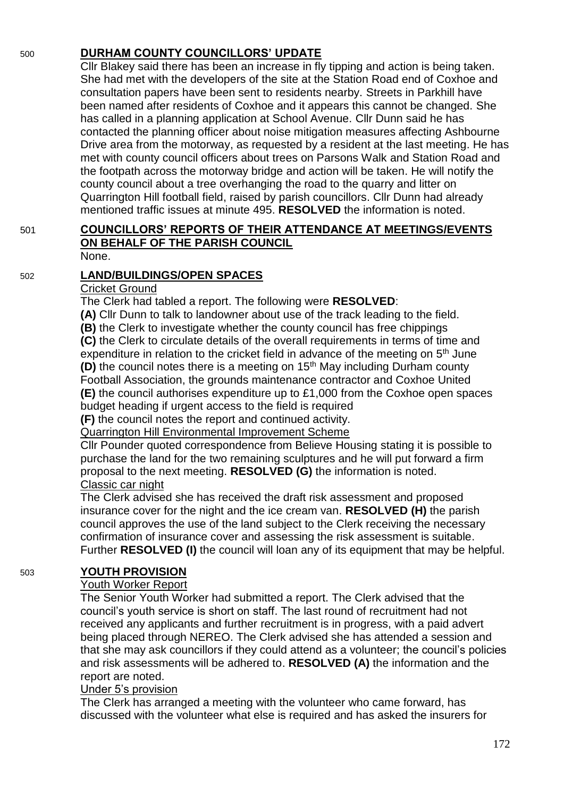# 500 **DURHAM COUNTY COUNCILLORS' UPDATE**

Cllr Blakey said there has been an increase in fly tipping and action is being taken. She had met with the developers of the site at the Station Road end of Coxhoe and consultation papers have been sent to residents nearby. Streets in Parkhill have been named after residents of Coxhoe and it appears this cannot be changed. She has called in a planning application at School Avenue. Cllr Dunn said he has contacted the planning officer about noise mitigation measures affecting Ashbourne Drive area from the motorway, as requested by a resident at the last meeting. He has met with county council officers about trees on Parsons Walk and Station Road and the footpath across the motorway bridge and action will be taken. He will notify the county council about a tree overhanging the road to the quarry and litter on Quarrington Hill football field, raised by parish councillors. Cllr Dunn had already mentioned traffic issues at minute 495. **RESOLVED** the information is noted.

#### 501 **COUNCILLORS' REPORTS OF THEIR ATTENDANCE AT MEETINGS/EVENTS ON BEHALF OF THE PARISH COUNCIL** None.

## 502 **LAND/BUILDINGS/OPEN SPACES**

#### Cricket Ground

The Clerk had tabled a report. The following were **RESOLVED**:

**(A)** Cllr Dunn to talk to landowner about use of the track leading to the field.

**(B)** the Clerk to investigate whether the county council has free chippings

**(C)** the Clerk to circulate details of the overall requirements in terms of time and expenditure in relation to the cricket field in advance of the meeting on 5<sup>th</sup> June **(D)** the council notes there is a meeting on 15<sup>th</sup> May including Durham county Football Association, the grounds maintenance contractor and Coxhoe United **(E)** the council authorises expenditure up to £1,000 from the Coxhoe open spaces budget heading if urgent access to the field is required

**(F)** the council notes the report and continued activity.

Quarrington Hill Environmental Improvement Scheme

Cllr Pounder quoted correspondence from Believe Housing stating it is possible to purchase the land for the two remaining sculptures and he will put forward a firm proposal to the next meeting. **RESOLVED (G)** the information is noted. Classic car night

The Clerk advised she has received the draft risk assessment and proposed insurance cover for the night and the ice cream van. **RESOLVED (H)** the parish council approves the use of the land subject to the Clerk receiving the necessary confirmation of insurance cover and assessing the risk assessment is suitable. Further **RESOLVED (I)** the council will loan any of its equipment that may be helpful.

#### 503 **YOUTH PROVISION**

#### Youth Worker Report

The Senior Youth Worker had submitted a report. The Clerk advised that the council's youth service is short on staff. The last round of recruitment had not received any applicants and further recruitment is in progress, with a paid advert being placed through NEREO. The Clerk advised she has attended a session and that she may ask councillors if they could attend as a volunteer; the council's policies and risk assessments will be adhered to. **RESOLVED (A)** the information and the report are noted.

## Under 5's provision

The Clerk has arranged a meeting with the volunteer who came forward, has discussed with the volunteer what else is required and has asked the insurers for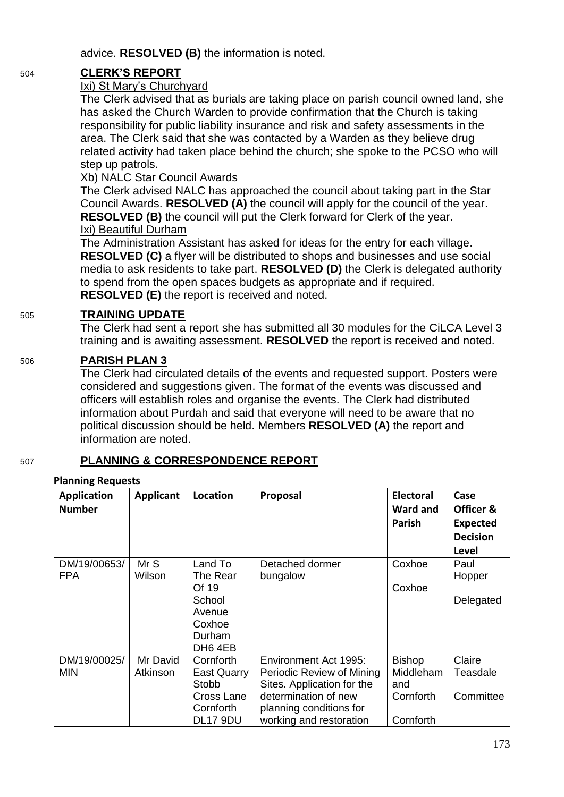advice. **RESOLVED (B)** the information is noted.

# 504 **CLERK'S REPORT**

## Ixi) St Mary's Churchyard

The Clerk advised that as burials are taking place on parish council owned land, she has asked the Church Warden to provide confirmation that the Church is taking responsibility for public liability insurance and risk and safety assessments in the area. The Clerk said that she was contacted by a Warden as they believe drug related activity had taken place behind the church; she spoke to the PCSO who will step up patrols.

## Xb) NALC Star Council Awards

The Clerk advised NALC has approached the council about taking part in the Star Council Awards. **RESOLVED (A)** the council will apply for the council of the year. **RESOLVED (B)** the council will put the Clerk forward for Clerk of the year. Ixi) Beautiful Durham

The Administration Assistant has asked for ideas for the entry for each village. **RESOLVED (C)** a flyer will be distributed to shops and businesses and use social media to ask residents to take part. **RESOLVED (D)** the Clerk is delegated authority to spend from the open spaces budgets as appropriate and if required. **RESOLVED (E)** the report is received and noted.

## 505 **TRAINING UPDATE**

The Clerk had sent a report she has submitted all 30 modules for the CiLCA Level 3 training and is awaiting assessment. **RESOLVED** the report is received and noted.

## 506 **PARISH PLAN 3**

The Clerk had circulated details of the events and requested support. Posters were considered and suggestions given. The format of the events was discussed and officers will establish roles and organise the events. The Clerk had distributed information about Purdah and said that everyone will need to be aware that no political discussion should be held. Members **RESOLVED (A)** the report and information are noted.

# 507 **PLANNING & CORRESPONDENCE REPORT**

## **Planning Requests**

| <b>Application</b><br><b>Number</b> | <b>Applicant</b>     | <b>Location</b>                                                                             | Proposal                                                                                                                                                       | <b>Electoral</b><br><b>Ward and</b><br>Parish               | Case<br>Officer &<br><b>Expected</b><br><b>Decision</b><br>Level |
|-------------------------------------|----------------------|---------------------------------------------------------------------------------------------|----------------------------------------------------------------------------------------------------------------------------------------------------------------|-------------------------------------------------------------|------------------------------------------------------------------|
| DM/19/00653/<br><b>FPA</b>          | Mr S<br>Wilson       | Land To<br>The Rear<br>Of 19<br>School<br>Avenue<br>Coxhoe<br>Durham<br>DH <sub>6</sub> 4EB | Detached dormer<br>bungalow                                                                                                                                    | Coxhoe<br>Coxhoe                                            | Paul<br>Hopper<br>Delegated                                      |
| DM/19/00025/<br><b>MIN</b>          | Mr David<br>Atkinson | Cornforth<br><b>East Quarry</b><br>Stobb<br>Cross Lane<br>Cornforth<br>DL17 9DU             | Environment Act 1995:<br>Periodic Review of Mining<br>Sites. Application for the<br>determination of new<br>planning conditions for<br>working and restoration | <b>Bishop</b><br>Middleham<br>and<br>Cornforth<br>Cornforth | Claire<br>Teasdale<br>Committee                                  |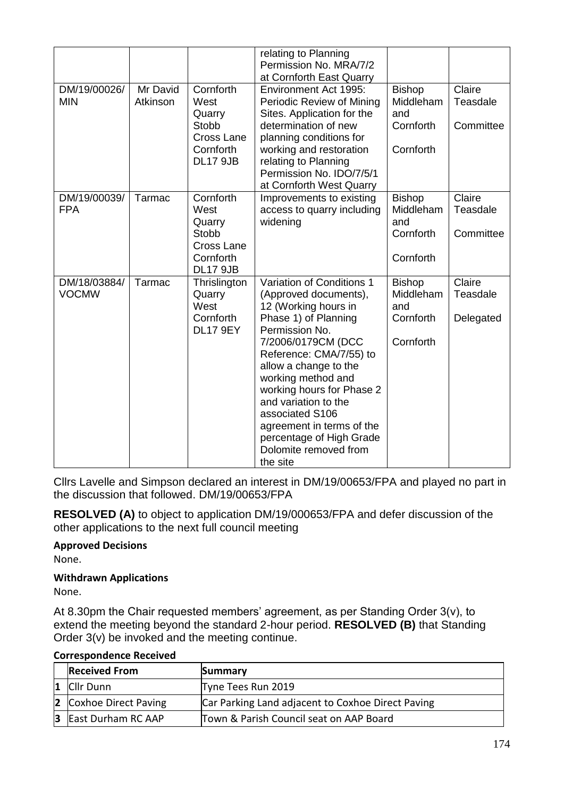|              |          |                            | relating to Planning                            |               |           |
|--------------|----------|----------------------------|-------------------------------------------------|---------------|-----------|
|              |          |                            | Permission No. MRA/7/2                          |               |           |
|              |          |                            | at Cornforth East Quarry                        |               |           |
| DM/19/00026/ | Mr David | Cornforth                  | Environment Act 1995:                           | <b>Bishop</b> | Claire    |
| <b>MIN</b>   | Atkinson | West                       | Periodic Review of Mining                       | Middleham     | Teasdale  |
|              |          | Quarry                     | Sites. Application for the                      | and           |           |
|              |          | Stobb<br><b>Cross Lane</b> | determination of new                            | Cornforth     | Committee |
|              |          | Cornforth                  | planning conditions for                         | Cornforth     |           |
|              |          | <b>DL17 9JB</b>            | working and restoration<br>relating to Planning |               |           |
|              |          |                            | Permission No. IDO/7/5/1                        |               |           |
|              |          |                            | at Cornforth West Quarry                        |               |           |
| DM/19/00039/ | Tarmac   | Cornforth                  | Improvements to existing                        | <b>Bishop</b> | Claire    |
| <b>FPA</b>   |          | West                       | access to quarry including                      | Middleham     | Teasdale  |
|              |          | Quarry                     | widening                                        | and           |           |
|              |          | Stobb                      |                                                 | Cornforth     | Committee |
|              |          | <b>Cross Lane</b>          |                                                 |               |           |
|              |          | Cornforth                  |                                                 | Cornforth     |           |
|              |          | <b>DL17 9JB</b>            |                                                 |               |           |
| DM/18/03884/ | Tarmac   | Thrislington               | Variation of Conditions 1                       | <b>Bishop</b> | Claire    |
| <b>VOCMW</b> |          | Quarry                     | (Approved documents),                           | Middleham     | Teasdale  |
|              |          | West                       | 12 (Working hours in                            | and           |           |
|              |          | Cornforth                  | Phase 1) of Planning                            | Cornforth     | Delegated |
|              |          | <b>DL17 9EY</b>            | Permission No.                                  |               |           |
|              |          |                            | 7/2006/0179CM (DCC                              | Cornforth     |           |
|              |          |                            | Reference: CMA/7/55) to                         |               |           |
|              |          |                            | allow a change to the                           |               |           |
|              |          |                            | working method and                              |               |           |
|              |          |                            | working hours for Phase 2                       |               |           |
|              |          |                            | and variation to the<br>associated S106         |               |           |
|              |          |                            | agreement in terms of the                       |               |           |
|              |          |                            | percentage of High Grade                        |               |           |
|              |          |                            | Dolomite removed from                           |               |           |
|              |          |                            | the site                                        |               |           |

Cllrs Lavelle and Simpson declared an interest in DM/19/00653/FPA and played no part in the discussion that followed. DM/19/00653/FPA

**RESOLVED (A)** to object to application DM/19/000653/FPA and defer discussion of the other applications to the next full council meeting

**Approved Decisions**

None.

## **Withdrawn Applications**

None.

At 8.30pm the Chair requested members' agreement, as per Standing Order 3(v), to extend the meeting beyond the standard 2-hour period. **RESOLVED (B)** that Standing Order 3(v) be invoked and the meeting continue.

| <b>Received From</b>          | Summary                                           |
|-------------------------------|---------------------------------------------------|
| Cllr Dunn                     | Tyne Tees Run 2019                                |
| <b>2</b> Coxhoe Direct Paving | Car Parking Land adjacent to Coxhoe Direct Paving |
| <b>3</b> East Durham RC AAP   | Town & Parish Council seat on AAP Board           |

## **Correspondence Received**